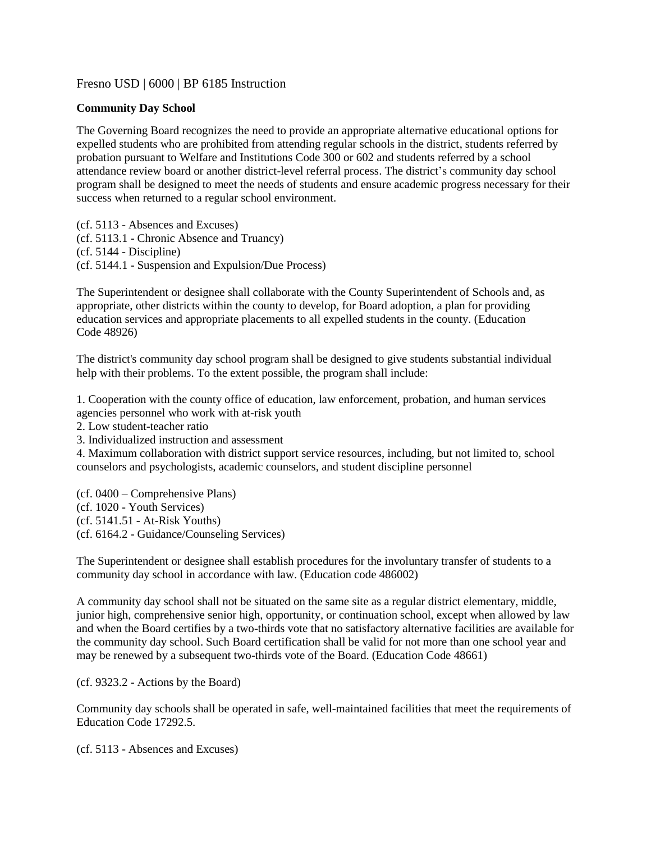## Fresno USD | 6000 | BP 6185 Instruction

## **Community Day School**

The Governing Board recognizes the need to provide an appropriate alternative educational options for expelled students who are prohibited from attending regular schools in the district, students referred by probation pursuant to Welfare and Institutions Code 300 or 602 and students referred by a school attendance review board or another district-level referral process. The district's community day school program shall be designed to meet the needs of students and ensure academic progress necessary for their success when returned to a regular school environment.

(cf. [5113](http://www.gamutonline.net/displayPolicy/171542/6) - Absences and Excuses) (cf. [5113.1](http://www.gamutonline.net/displayPolicy/221607/6) - Chronic Absence and Truancy) (cf. [5144](http://www.gamutonline.net/displayPolicy/909486/6) - Discipline) (cf. [5144.1](http://www.gamutonline.net/displayPolicy/909488/6) - Suspension and Expulsion/Due Process)

The Superintendent or designee shall collaborate with the County Superintendent of Schools and, as appropriate, other districts within the county to develop, for Board adoption, a plan for providing education services and appropriate placements to all expelled students in the county. (Education Code [48926\)](http://www.gamutonline.net/displayPolicy/132255/6)

The district's community day school program shall be designed to give students substantial individual help with their problems. To the extent possible, the program shall include:

1. Cooperation with the county office of education, law enforcement, probation, and human services agencies personnel who work with at-risk youth

2. Low student-teacher ratio

3. Individualized instruction and assessment

4. Maximum collaboration with district support service resources, including, but not limited to, school counselors and psychologists, academic counselors, and student discipline personnel

(cf. 0400 – Comprehensive Plans) (cf. 1020 - Youth Services) (cf. 5141.51 - At-Risk Youths) (cf. 6164.2 - Guidance/Counseling Services)

The Superintendent or designee shall establish procedures for the involuntary transfer of students to a community day school in accordance with law. (Education code 486002)

A community day school shall not be situated on the same site as a regular district elementary, middle, junior high, comprehensive senior high, opportunity, or continuation school, except when allowed by law and when the Board certifies by a two-thirds vote that no satisfactory alternative facilities are available for the community day school. Such Board certification shall be valid for not more than one school year and may be renewed by a subsequent two-thirds vote of the Board. (Education Code [48661\)](http://www.gamutonline.net/displayPolicy/137512/6)

(cf. [9323.2](http://www.gamutonline.net/displayPolicy/288789/6) - Actions by the Board)

Community day schools shall be operated in safe, well-maintained facilities that meet the requirements of Education Code [17292.5.](http://www.gamutonline.net/displayPolicy/136856/6)

(cf. 5113 - Absences and Excuses)